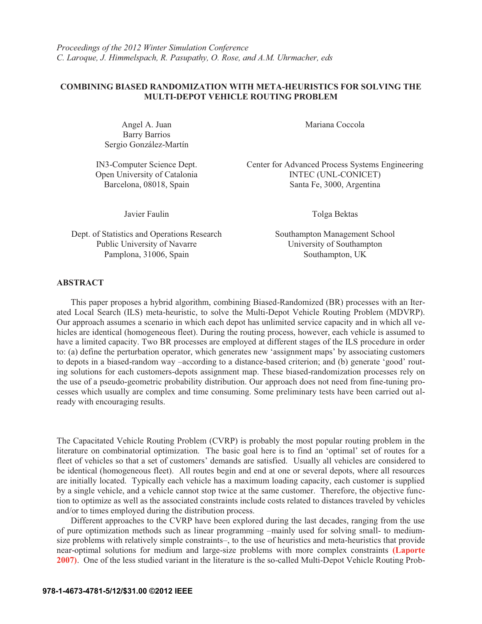## **COMBINING BIASED RANDOMIZATION WITH META-HEURISTICS FOR SOLVING THE MULTI-DEPOT VEHICLE ROUTING PROBLEM**

Angel A. Juan Barry Barrios Sergio González-Martín

Dept. of Statistics and Operations Research Southampton Management School Public University of Navarre University of Southampton Pamplona, 31006, Spain Southampton, UK

Mariana Coccola

IN3-Computer Science Dept. Center for Advanced Process Systems Engineering Open University of Catalonia INTEC (UNL-CONICET) Barcelona, 08018, Spain Santa Fe, 3000, Argentina

Javier Faulin Tolga Bektas

## **ABSTRACT**

This paper proposes a hybrid algorithm, combining Biased-Randomized (BR) processes with an Iterated Local Search (ILS) meta-heuristic, to solve the Multi-Depot Vehicle Routing Problem (MDVRP). Our approach assumes a scenario in which each depot has unlimited service capacity and in which all vehicles are identical (homogeneous fleet). During the routing process, however, each vehicle is assumed to have a limited capacity. Two BR processes are employed at different stages of the ILS procedure in order to: (a) define the perturbation operator, which generates new 'assignment maps' by associating customers to depots in a biased-random way –according to a distance-based criterion; and (b) generate 'good' routing solutions for each customers-depots assignment map. These biased-randomization processes rely on the use of a pseudo-geometric probability distribution. Our approach does not need from fine-tuning processes which usually are complex and time consuming. Some preliminary tests have been carried out already with encouraging results.

The Capacitated Vehicle Routing Problem (CVRP) is probably the most popular routing problem in the literature on combinatorial optimization. The basic goal here is to find an 'optimal' set of routes for a fleet of vehicles so that a set of customers' demands are satisfied. Usually all vehicles are considered to be identical (homogeneous fleet). All routes begin and end at one or several depots, where all resources are initially located. Typically each vehicle has a maximum loading capacity, each customer is supplied by a single vehicle, and a vehicle cannot stop twice at the same customer. Therefore, the objective function to optimize as well as the associated constraints include costs related to distances traveled by vehicles and/or to times employed during the distribution process.

 Different approaches to the CVRP have been explored during the last decades, ranging from the use of pure optimization methods such as linear programming –mainly used for solving small- to mediumsize problems with relatively simple constraints–, to the use of heuristics and meta-heuristics that provide near-optimal solutions for medium and large-size problems with more complex constraints **(Laporte 2007)**. One of the less studied variant in the literature is the so-called Multi-Depot Vehicle Routing Prob